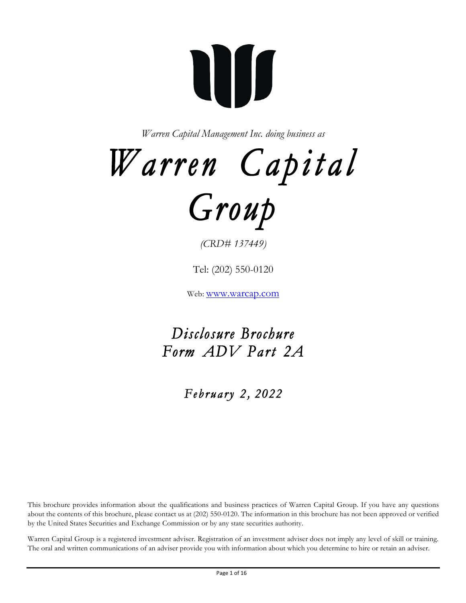# **ALLIS**

*Warren Capital Management Inc. doing business as*

*Warren Capital* 



*(CRD# 137449)*

Tel: (202) 550-0120

Web: www.warcap.com

*Disclosure Brochure Form ADV Part 2A* 

 *February 2 , 2022* 

This brochure provides information about the qualifications and business practices of Warren Capital Group. If you have any questions about the contents of this brochure, please contact us at (202) 550-0120. The information in this brochure has not been approved or verified by the United States Securities and Exchange Commission or by any state securities authority.

Warren Capital Group is a registered investment adviser. Registration of an investment adviser does not imply any level of skill or training. The oral and written communications of an adviser provide you with information about which you determine to hire or retain an adviser.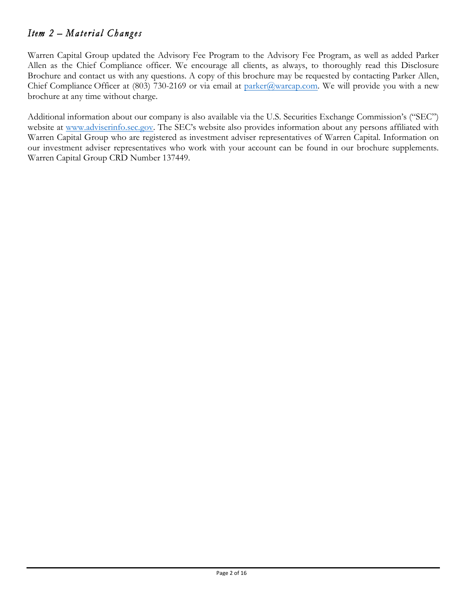# *Item 2 – Material Changes*

Warren Capital Group updated the Advisory Fee Program to the Advisory Fee Program, as well as added Parker Allen as the Chief Compliance officer. We encourage all clients, as always, to thoroughly read this Disclosure Brochure and contact us with any questions. A copy of this brochure may be requested by contacting Parker Allen, Chief Compliance Officer at (803) 730-2169 or via email at parker@warcap.com. We will provide you with a new brochure at any time without charge.

Additional information about our company is also available via the U.S. Securities Exchange Commission's ("SEC") website at www.adviserinfo.sec.gov. The SEC's website also provides information about any persons affiliated with Warren Capital Group who are registered as investment adviser representatives of Warren Capital. Information on our investment adviser representatives who work with your account can be found in our brochure supplements. Warren Capital Group CRD Number 137449.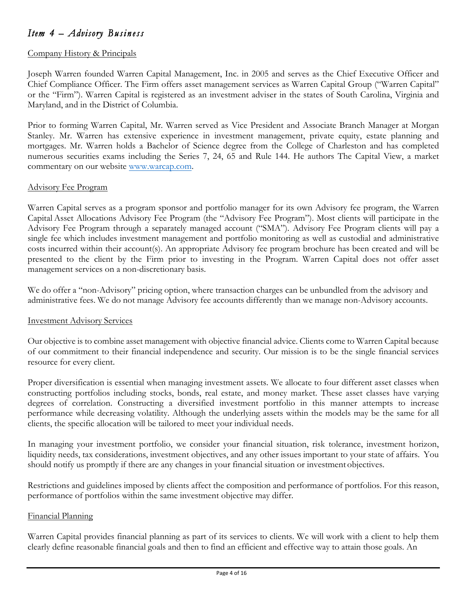# *Item 4 – Advisory Business*

## Company History & Principals

Joseph Warren founded Warren Capital Management, Inc. in 2005 and serves as the Chief Executive Officer and Chief Compliance Officer. The Firm offers asset management services as Warren Capital Group ("Warren Capital" or the "Firm"). Warren Capital is registered as an investment adviser in the states of South Carolina, Virginia and Maryland, and in the District of Columbia.

Prior to forming Warren Capital, Mr. Warren served as Vice President and Associate Branch Manager at Morgan Stanley. Mr. Warren has extensive experience in investment management, private equity, estate planning and mortgages. Mr. Warren holds a Bachelor of Science degree from the College of Charleston and has completed numerous securities exams including the Series 7, 24, 65 and Rule 144. He authors The Capital View, a market commentary on our website www.warcap.com.

#### Advisory Fee Program

Warren Capital serves as a program sponsor and portfolio manager for its own Advisory fee program, the Warren Capital Asset Allocations Advisory Fee Program (the "Advisory Fee Program"). Most clients will participate in the Advisory Fee Program through a separately managed account ("SMA"). Advisory Fee Program clients will pay a single fee which includes investment management and portfolio monitoring as well as custodial and administrative costs incurred within their account(s). An appropriate Advisory fee program brochure has been created and will be presented to the client by the Firm prior to investing in the Program. Warren Capital does not offer asset management services on a non-discretionary basis.

We do offer a "non-Advisory" pricing option, where transaction charges can be unbundled from the advisory and administrative fees. We do not manage Advisory fee accounts differently than we manage non-Advisory accounts.

#### Investment Advisory Services

Our objective is to combine asset management with objective financial advice. Clients come to Warren Capital because of our commitment to their financial independence and security. Our mission is to be the single financial services resource for every client.

Proper diversification is essential when managing investment assets. We allocate to four different asset classes when constructing portfolios including stocks, bonds, real estate, and money market. These asset classes have varying degrees of correlation. Constructing a diversified investment portfolio in this manner attempts to increase performance while decreasing volatility. Although the underlying assets within the models may be the same for all clients, the specific allocation will be tailored to meet your individual needs.

In managing your investment portfolio, we consider your financial situation, risk tolerance, investment horizon, liquidity needs, tax considerations, investment objectives, and any other issues important to your state of affairs. You should notify us promptly if there are any changes in your financial situation or investment objectives.

Restrictions and guidelines imposed by clients affect the composition and performance of portfolios. For this reason, performance of portfolios within the same investment objective may differ.

#### Financial Planning

Warren Capital provides financial planning as part of its services to clients. We will work with a client to help them clearly define reasonable financial goals and then to find an efficient and effective way to attain those goals. An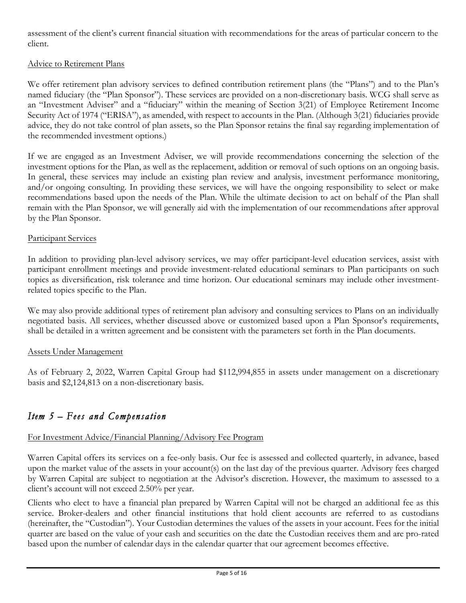assessment of the client's current financial situation with recommendations for the areas of particular concern to the client.

## Advice to Retirement Plans

We offer retirement plan advisory services to defined contribution retirement plans (the "Plans") and to the Plan's named fiduciary (the "Plan Sponsor"). These services are provided on a non-discretionary basis. WCG shall serve as an "Investment Adviser" and a "fiduciary" within the meaning of Section 3(21) of Employee Retirement Income Security Act of 1974 ("ERISA"), as amended, with respect to accounts in the Plan. (Although 3(21) fiduciaries provide advice, they do not take control of plan assets, so the Plan Sponsor retains the final say regarding implementation of the recommended investment options.)

If we are engaged as an Investment Adviser, we will provide recommendations concerning the selection of the investment options for the Plan, as well as the replacement, addition or removal of such options on an ongoing basis. In general, these services may include an existing plan review and analysis, investment performance monitoring, and/or ongoing consulting. In providing these services, we will have the ongoing responsibility to select or make recommendations based upon the needs of the Plan. While the ultimate decision to act on behalf of the Plan shall remain with the Plan Sponsor, we will generally aid with the implementation of our recommendations after approval by the Plan Sponsor.

#### Participant Services

In addition to providing plan-level advisory services, we may offer participant-level education services, assist with participant enrollment meetings and provide investment-related educational seminars to Plan participants on such topics as diversification, risk tolerance and time horizon. Our educational seminars may include other investmentrelated topics specific to the Plan.

We may also provide additional types of retirement plan advisory and consulting services to Plans on an individually negotiated basis. All services, whether discussed above or customized based upon a Plan Sponsor's requirements, shall be detailed in a written agreement and be consistent with the parameters set forth in the Plan documents.

#### Assets Under Management

As of February 2, 2022, Warren Capital Group had \$112,994,855 in assets under management on a discretionary basis and \$2,124,813 on a non-discretionary basis.

# *Item 5 – Fees and Compensation*

## For Investment Advice/Financial Planning/Advisory Fee Program

Warren Capital offers its services on a fee-only basis. Our fee is assessed and collected quarterly, in advance, based upon the market value of the assets in your account(s) on the last day of the previous quarter. Advisory fees charged by Warren Capital are subject to negotiation at the Advisor's discretion. However, the maximum to assessed to a client's account will not exceed 2.50% per year.

Clients who elect to have a financial plan prepared by Warren Capital will not be charged an additional fee as this service. Broker-dealers and other financial institutions that hold client accounts are referred to as custodians (hereinafter, the "Custodian"). Your Custodian determines the values of the assets in your account. Fees for the initial quarter are based on the value of your cash and securities on the date the Custodian receives them and are pro-rated based upon the number of calendar days in the calendar quarter that our agreement becomes effective.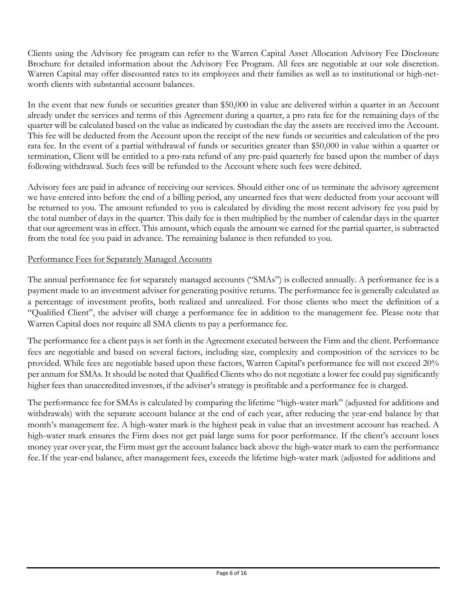Clients using the Advisory fee program can refer to the Warren Capital Asset Allocation Advisory Fee Disclosure Brochure for detailed information about the Advisory Fee Program. All fees are negotiable at our sole discretion. Warren Capital may offer discounted rates to its employees and their families as well as to institutional or high-networth clients with substantial account balances.

In the event that new funds or securities greater than \$50,000 in value are delivered within a quarter in an Account already under the services and terms of this Agreement during a quarter, a pro rata fee for the remaining days of the quarter will be calculated based on the value as indicated by custodian the day the assets are received into the Account. This fee will be deducted from the Account upon the receipt of the new funds or securities and calculation of the pro rata fee. In the event of a partial withdrawal of funds or securities greater than \$50,000 in value within a quarter or termination, Client will be entitled to a pro-rata refund of any pre-paid quarterly fee based upon the number of days following withdrawal. Such fees will be refunded to the Account where such fees were debited.

Advisory fees are paid in advance of receiving our services. Should either one of us terminate the advisory agreement we have entered into before the end of a billing period, any unearned fees that were deducted from your account will be returned to you. The amount refunded to you is calculated by dividing the most recent advisory fee you paid by the total number of days in the quarter. This daily fee is then multiplied by the number of calendar days in the quarter that our agreement was in effect. This amount, which equals the amount we earned for the partial quarter, is subtracted from the total fee you paid in advance. The remaining balance is then refunded to you.

## Performance Fees for Separately Managed Accounts

The annual performance fee for separately managed accounts ("SMAs") is collected annually. A performance fee is a payment made to an investment adviser for generating positive returns. The performance fee is generally calculated as a percentage of investment profits, both realized and unrealized. For those clients who meet the definition of a "Qualified Client", the adviser will charge a performance fee in addition to the management fee. Please note that Warren Capital does not require all SMA clients to pay a performance fee.

The performance fee a client pays is set forth in the Agreement executed between the Firm and the client. Performance fees are negotiable and based on several factors, including size, complexity and composition of the services to be provided. While fees are negotiable based upon these factors, Warren Capital's performance fee will not exceed 20% per annum for SMAs. It should be noted that Qualified Clients who do not negotiate a lower fee could pay significantly higher fees than unaccredited investors, if the adviser's strategy is profitable and a performance fee is charged.

The performance fee for SMAs is calculated by comparing the lifetime "high-water mark" (adjusted for additions and withdrawals) with the separate account balance at the end of each year, after reducing the year-end balance by that month's management fee. A high-water mark is the highest peak in value that an investment account has reached. A high-water mark ensures the Firm does not get paid large sums for poor performance. If the client's account loses money year over year, the Firm must get the account balance back above the high-water mark to earn the performance fee.If the year-end balance, after management fees, exceeds the lifetime high-water mark (adjusted for additions and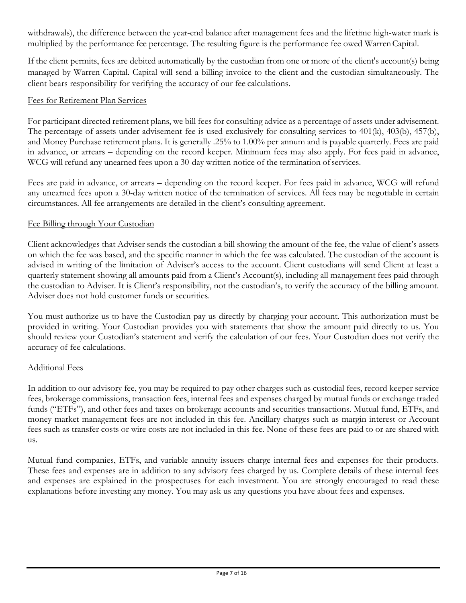withdrawals), the difference between the year-end balance after management fees and the lifetime high-water mark is multiplied by the performance fee percentage. The resulting figure is the performance fee owed WarrenCapital.

If the client permits, fees are debited automatically by the custodian from one or more of the client's account(s) being managed by Warren Capital. Capital will send a billing invoice to the client and the custodian simultaneously. The client bears responsibility for verifying the accuracy of our fee calculations.

## Fees for Retirement Plan Services

For participant directed retirement plans, we bill fees for consulting advice as a percentage of assets under advisement. The percentage of assets under advisement fee is used exclusively for consulting services to 401(k), 403(b), 457(b), and Money Purchase retirement plans. It is generally .25% to 1.00% per annum and is payable quarterly. Fees are paid in advance, or arrears – depending on the record keeper. Minimum fees may also apply. For fees paid in advance, WCG will refund any unearned fees upon a 30-day written notice of the termination of services.

Fees are paid in advance, or arrears – depending on the record keeper. For fees paid in advance, WCG will refund any unearned fees upon a 30-day written notice of the termination of services. All fees may be negotiable in certain circumstances. All fee arrangements are detailed in the client's consulting agreement.

## Fee Billing through Your Custodian

Client acknowledges that Adviser sends the custodian a bill showing the amount of the fee, the value of client's assets on which the fee was based, and the specific manner in which the fee was calculated. The custodian of the account is advised in writing of the limitation of Adviser's access to the account. Client custodians will send Client at least a quarterly statement showing all amounts paid from a Client's Account(s), including all management fees paid through the custodian to Adviser. It is Client's responsibility, not the custodian's, to verify the accuracy of the billing amount. Adviser does not hold customer funds or securities.

You must authorize us to have the Custodian pay us directly by charging your account. This authorization must be provided in writing. Your Custodian provides you with statements that show the amount paid directly to us. You should review your Custodian's statement and verify the calculation of our fees. Your Custodian does not verify the accuracy of fee calculations.

#### Additional Fees

In addition to our advisory fee, you may be required to pay other charges such as custodial fees, record keeper service fees, brokerage commissions, transaction fees, internal fees and expenses charged by mutual funds or exchange traded funds ("ETFs"), and other fees and taxes on brokerage accounts and securities transactions. Mutual fund, ETFs, and money market management fees are not included in this fee. Ancillary charges such as margin interest or Account fees such as transfer costs or wire costs are not included in this fee. None of these fees are paid to or are shared with us.

Mutual fund companies, ETFs, and variable annuity issuers charge internal fees and expenses for their products. These fees and expenses are in addition to any advisory fees charged by us. Complete details of these internal fees and expenses are explained in the prospectuses for each investment. You are strongly encouraged to read these explanations before investing any money. You may ask us any questions you have about fees and expenses.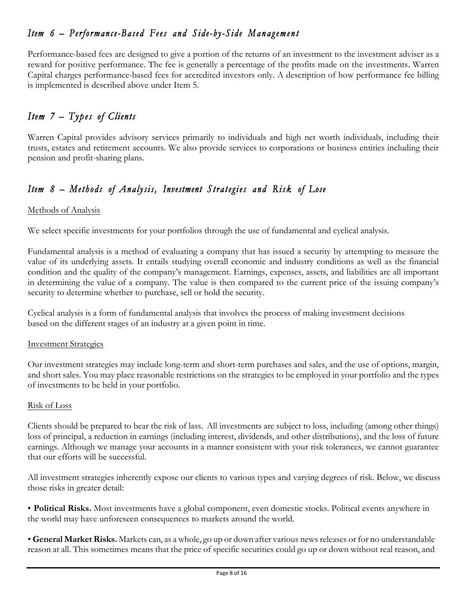# *Item 6 – Performance-Based Fees and Side- b y-Side Management*

Performance-based fees are designed to give a portion of the returns of an investment to the investment adviser as a reward for positive performance. The fee is generally a percentage of the profits made on the investments. Warren Capital charges performance-based fees for accredited investors only. A description of how performance fee billing is implemented is described above under Item 5.

# *Item 7 – Types of Clients*

Warren Capital provides advisory services primarily to individuals and high net worth individuals, including their trusts, estates and retirement accounts. We also provide services to corporations or business entities including their pension and profit-sharing plans.

# *Item 8 – Methods of Analysis, Investment Strategies and Risk of Lose*

## Methods of Analysis

We select specific investments for your portfolios through the use of fundamental and cyclical analysis.

Fundamental analysis is a method of evaluating a company that has issued a security by attempting to measure the value of its underlying assets. It entails studying overall economic and industry conditions as well as the financial condition and the quality of the company's management. Earnings, expenses, assets, and liabilities are all important in determining the value of a company. The value is then compared to the current price of the issuing company's security to determine whether to purchase, sell or hold the security.

Cyclical analysis is a form of fundamental analysis that involves the process of making investment decisions based on the different stages of an industry at a given point in time.

#### Investment Strategies

Our investment strategies may include long-term and short-term purchases and sales, and the use of options, margin, and short sales. You may place reasonable restrictions on the strategies to be employed in your portfolio and the types of investments to be held in your portfolio.

#### Risk of Loss

Clients should be prepared to bear the risk of lass. All investments are subject to loss, including (among other things) loss of principal, a reduction in earnings (including interest, dividends, and other distributions), and the loss of future earnings. Although we manage your accounts in a manner consistent with your risk tolerances, we cannot guarantee that our efforts will be successful.

All investment strategies inherently expose our clients to various types and varying degrees of risk. Below, we discuss those risks in greater detail:

• **Political Risks.** Most investments have a global component, even domestic stocks. Political events anywhere in the world may have unforeseen consequences to markets around the world.

• **General Market Risks.** Markets can, as a whole, go up or down after various news releases or for no understandable reason at all. This sometimes means that the price of specific securities could go up or down without real reason, and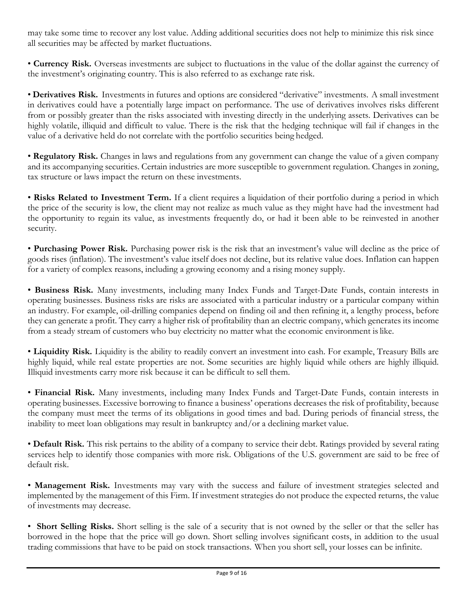may take some time to recover any lost value. Adding additional securities does not help to minimize this risk since all securities may be affected by market fluctuations.

• **Currency Risk.** Overseas investments are subject to fluctuations in the value of the dollar against the currency of the investment's originating country. This is also referred to as exchange rate risk.

• **Derivatives Risk.** Investments in futures and options are considered "derivative" investments. A small investment in derivatives could have a potentially large impact on performance. The use of derivatives involves risks different from or possibly greater than the risks associated with investing directly in the underlying assets. Derivatives can be highly volatile, illiquid and difficult to value. There is the risk that the hedging technique will fail if changes in the value of a derivative held do not correlate with the portfolio securities being hedged.

• **Regulatory Risk.** Changes in laws and regulations from any government can change the value of a given company and its accompanying securities. Certain industries are more susceptible to government regulation. Changes in zoning, tax structure or laws impact the return on these investments.

• **Risks Related to Investment Term.** If a client requires a liquidation of their portfolio during a period in which the price of the security is low, the client may not realize as much value as they might have had the investment had the opportunity to regain its value, as investments frequently do, or had it been able to be reinvested in another security.

• **Purchasing Power Risk.** Purchasing power risk is the risk that an investment's value will decline as the price of goods rises (inflation). The investment's value itself does not decline, but its relative value does. Inflation can happen for a variety of complex reasons, including a growing economy and a rising money supply.

• **Business Risk.** Many investments, including many Index Funds and Target-Date Funds, contain interests in operating businesses. Business risks are risks are associated with a particular industry or a particular company within an industry. For example, oil-drilling companies depend on finding oil and then refining it, a lengthy process, before they can generate a profit. They carry a higher risk of profitability than an electric company, which generates its income from a steady stream of customers who buy electricity no matter what the economic environment is like.

• **Liquidity Risk.** Liquidity is the ability to readily convert an investment into cash. For example, Treasury Bills are highly liquid, while real estate properties are not. Some securities are highly liquid while others are highly illiquid. Illiquid investments carry more risk because it can be difficult to sell them.

• **Financial Risk.** Many investments, including many Index Funds and Target-Date Funds, contain interests in operating businesses. Excessive borrowing to finance a business' operations decreases the risk of profitability, because the company must meet the terms of its obligations in good times and bad. During periods of financial stress, the inability to meet loan obligations may result in bankruptcy and/or a declining market value.

• **Default Risk.** This risk pertains to the ability of a company to service their debt. Ratings provided by several rating services help to identify those companies with more risk. Obligations of the U.S. government are said to be free of default risk.

• **Management Risk.** Investments may vary with the success and failure of investment strategies selected and implemented by the management of this Firm. If investment strategies do not produce the expected returns, the value of investments may decrease.

• **Short Selling Risks.** Short selling is the sale of a security that is not owned by the seller or that the seller has borrowed in the hope that the price will go down. Short selling involves significant costs, in addition to the usual trading commissions that have to be paid on stock transactions. When you short sell, your losses can be infinite.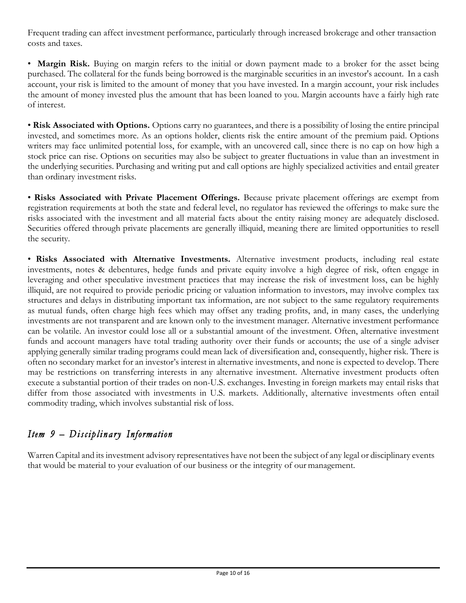Frequent trading can affect investment performance, particularly through increased brokerage and other transaction costs and taxes.

• **Margin Risk.** Buying on margin refers to the initial or down payment made to a broker for the asset being purchased. The collateral for the funds being borrowed is the marginable securities in an investor's account. In a cash account, your risk is limited to the amount of money that you have invested. In a margin account, your risk includes the amount of money invested plus the amount that has been loaned to you. Margin accounts have a fairly high rate of interest.

• **Risk Associated with Options.** Options carry no guarantees, and there is a possibility of losing the entire principal invested, and sometimes more. As an options holder, clients risk the entire amount of the premium paid. Options writers may face unlimited potential loss, for example, with an uncovered call, since there is no cap on how high a stock price can rise. Options on securities may also be subject to greater fluctuations in value than an investment in the underlying securities. Purchasing and writing put and call options are highly specialized activities and entail greater than ordinary investment risks.

• **Risks Associated with Private Placement Offerings.** Because private placement offerings are exempt from registration requirements at both the state and federal level, no regulator has reviewed the offerings to make sure the risks associated with the investment and all material facts about the entity raising money are adequately disclosed. Securities offered through private placements are generally illiquid, meaning there are limited opportunities to resell the security.

• **Risks Associated with Alternative Investments.** Alternative investment products, including real estate investments, notes & debentures, hedge funds and private equity involve a high degree of risk, often engage in leveraging and other speculative investment practices that may increase the risk of investment loss, can be highly illiquid, are not required to provide periodic pricing or valuation information to investors, may involve complex tax structures and delays in distributing important tax information, are not subject to the same regulatory requirements as mutual funds, often charge high fees which may offset any trading profits, and, in many cases, the underlying investments are not transparent and are known only to the investment manager. Alternative investment performance can be volatile. An investor could lose all or a substantial amount of the investment. Often, alternative investment funds and account managers have total trading authority over their funds or accounts; the use of a single adviser applying generally similar trading programs could mean lack of diversification and, consequently, higher risk. There is often no secondary market for an investor's interest in alternative investments, and none is expected to develop. There may be restrictions on transferring interests in any alternative investment. Alternative investment products often execute a substantial portion of their trades on non-U.S. exchanges. Investing in foreign markets may entail risks that differ from those associated with investments in U.S. markets. Additionally, alternative investments often entail commodity trading, which involves substantial risk of loss.

# *Item 9 – Disciplinary Information*

Warren Capital and its investment advisory representatives have not been the subject of any legal or disciplinary events that would be material to your evaluation of our business or the integrity of our management.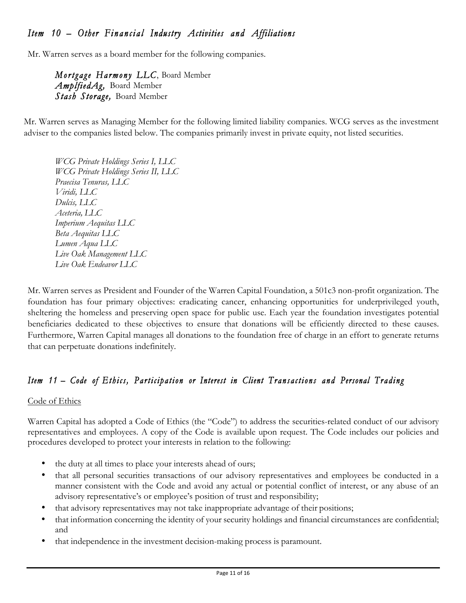# *Item 10 – Other Financial Industry Activities and Affiliations*

Mr. Warren serves as a board member for the following companies.

*Mortgage Harmony LLC*, Board Member *AmplfiedAg,* Board Member *Stash Storage,* Board Member

Mr. Warren serves as Managing Member for the following limited liability companies. WCG serves as the investment adviser to the companies listed below. The companies primarily invest in private equity, not listed securities.

*WCG Private Holdings Series I, LLC WCG Private Holdings Series II, LLC Praecisa Tenuras, LLC Viridi, LLC Dulcis, LLC Aceteria, LLC Imperium Aequitas LLC Beta Aequitas LLC Lumen Aqua LLC Live Oak Management LLC Live Oak Endeavor LLC*

Mr. Warren serves as President and Founder of the Warren Capital Foundation, a 501c3 non-profit organization. The foundation has four primary objectives: eradicating cancer, enhancing opportunities for underprivileged youth, sheltering the homeless and preserving open space for public use. Each year the foundation investigates potential beneficiaries dedicated to these objectives to ensure that donations will be efficiently directed to these causes. Furthermore, Warren Capital manages all donations to the foundation free of charge in an effort to generate returns that can perpetuate donations indefinitely.

## *Item 11 – Code of Ethics, Participation or Interest in Client Transactions and Personal Trading*

## Code of Ethics

Warren Capital has adopted a Code of Ethics (the "Code") to address the securities-related conduct of our advisory representatives and employees. A copy of the Code is available upon request. The Code includes our policies and procedures developed to protect your interests in relation to the following:

- the duty at all times to place your interests ahead of ours;
- that all personal securities transactions of our advisory representatives and employees be conducted in a manner consistent with the Code and avoid any actual or potential conflict of interest, or any abuse of an advisory representative's or employee's position of trust and responsibility;
- that advisory representatives may not take inappropriate advantage of their positions;
- that information concerning the identity of your security holdings and financial circumstances are confidential; and
- that independence in the investment decision-making process is paramount.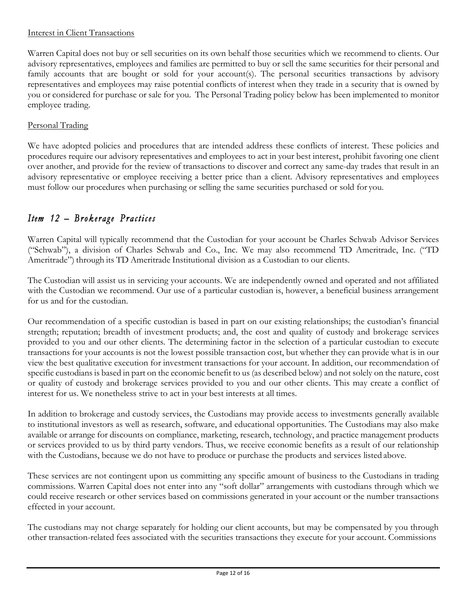## Interest in Client Transactions

Warren Capital does not buy or sell securities on its own behalf those securities which we recommend to clients. Our advisory representatives, employees and families are permitted to buy or sell the same securities for their personal and family accounts that are bought or sold for your account(s). The personal securities transactions by advisory representatives and employees may raise potential conflicts of interest when they trade in a security that is owned by you or considered for purchase or sale for you. The Personal Trading policy below has been implemented to monitor employee trading.

## Personal Trading

We have adopted policies and procedures that are intended address these conflicts of interest. These policies and procedures require our advisory representatives and employees to act in your best interest, prohibit favoring one client over another, and provide for the review of transactions to discover and correct any same-day trades that result in an advisory representative or employee receiving a better price than a client. Advisory representatives and employees must follow our procedures when purchasing or selling the same securities purchased or sold for you.

## *Item 12 – Brokerage Practices*

Warren Capital will typically recommend that the Custodian for your account be Charles Schwab Advisor Services ("Schwab"), a division of Charles Schwab and Co., Inc. We may also recommend TD Ameritrade, Inc. ("TD Ameritrade") through its TD Ameritrade Institutional division as a Custodian to our clients.

The Custodian will assist us in servicing your accounts. We are independently owned and operated and not affiliated with the Custodian we recommend. Our use of a particular custodian is, however, a beneficial business arrangement for us and for the custodian.

Our recommendation of a specific custodian is based in part on our existing relationships; the custodian's financial strength; reputation; breadth of investment products; and, the cost and quality of custody and brokerage services provided to you and our other clients. The determining factor in the selection of a particular custodian to execute transactions for your accounts is not the lowest possible transaction cost, but whether they can provide what is in our view the best qualitative execution for investment transactions for your account. In addition, our recommendation of specific custodians is based in part on the economic benefit to us (as described below) and not solely on the nature, cost or quality of custody and brokerage services provided to you and our other clients. This may create a conflict of interest for us. We nonetheless strive to act in your best interests at all times.

In addition to brokerage and custody services, the Custodians may provide access to investments generally available to institutional investors as well as research, software, and educational opportunities. The Custodians may also make available or arrange for discounts on compliance, marketing, research, technology, and practice management products or services provided to us by third party vendors. Thus, we receive economic benefits as a result of our relationship with the Custodians, because we do not have to produce or purchase the products and services listed above.

These services are not contingent upon us committing any specific amount of business to the Custodians in trading commissions. Warren Capital does not enter into any "soft dollar" arrangements with custodians through which we could receive research or other services based on commissions generated in your account or the number transactions effected in your account.

The custodians may not charge separately for holding our client accounts, but may be compensated by you through other transaction-related fees associated with the securities transactions they execute for your account. Commissions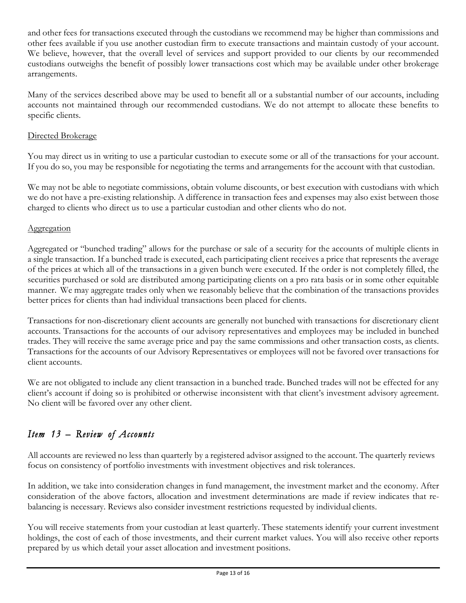and other fees for transactions executed through the custodians we recommend may be higher than commissions and other fees available if you use another custodian firm to execute transactions and maintain custody of your account. We believe, however, that the overall level of services and support provided to our clients by our recommended custodians outweighs the benefit of possibly lower transactions cost which may be available under other brokerage arrangements.

Many of the services described above may be used to benefit all or a substantial number of our accounts, including accounts not maintained through our recommended custodians. We do not attempt to allocate these benefits to specific clients.

## Directed Brokerage

You may direct us in writing to use a particular custodian to execute some or all of the transactions for your account. If you do so, you may be responsible for negotiating the terms and arrangements for the account with that custodian.

We may not be able to negotiate commissions, obtain volume discounts, or best execution with custodians with which we do not have a pre-existing relationship. A difference in transaction fees and expenses may also exist between those charged to clients who direct us to use a particular custodian and other clients who do not.

## Aggregation

Aggregated or "bunched trading" allows for the purchase or sale of a security for the accounts of multiple clients in a single transaction. If a bunched trade is executed, each participating client receives a price that represents the average of the prices at which all of the transactions in a given bunch were executed. If the order is not completely filled, the securities purchased or sold are distributed among participating clients on a pro rata basis or in some other equitable manner. We may aggregate trades only when we reasonably believe that the combination of the transactions provides better prices for clients than had individual transactions been placed for clients.

Transactions for non-discretionary client accounts are generally not bunched with transactions for discretionary client accounts. Transactions for the accounts of our advisory representatives and employees may be included in bunched trades. They will receive the same average price and pay the same commissions and other transaction costs, as clients. Transactions for the accounts of our Advisory Representatives or employees will not be favored over transactions for client accounts.

We are not obligated to include any client transaction in a bunched trade. Bunched trades will not be effected for any client's account if doing so is prohibited or otherwise inconsistent with that client's investment advisory agreement. No client will be favored over any other client.

# *Item 13 – Review of Accounts*

All accounts are reviewed no less than quarterly by a registered advisor assigned to the account. The quarterly reviews focus on consistency of portfolio investments with investment objectives and risk tolerances.

In addition, we take into consideration changes in fund management, the investment market and the economy. After consideration of the above factors, allocation and investment determinations are made if review indicates that rebalancing is necessary. Reviews also consider investment restrictions requested by individual clients.

You will receive statements from your custodian at least quarterly. These statements identify your current investment holdings, the cost of each of those investments, and their current market values. You will also receive other reports prepared by us which detail your asset allocation and investment positions.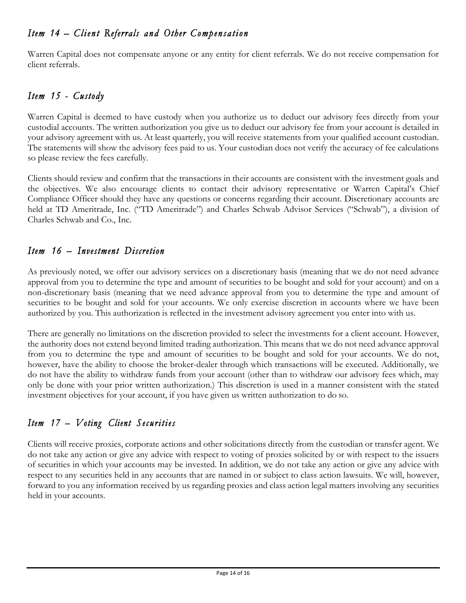# *Item 14 – Client Referrals and Other Compensation*

Warren Capital does not compensate anyone or any entity for client referrals. We do not receive compensation for client referrals.

# *Item 15 - Custody*

Warren Capital is deemed to have custody when you authorize us to deduct our advisory fees directly from your custodial accounts. The written authorization you give us to deduct our advisory fee from your account is detailed in your advisory agreement with us. At least quarterly, you will receive statements from your qualified account custodian. The statements will show the advisory fees paid to us. Your custodian does not verify the accuracy of fee calculations so please review the fees carefully.

Clients should review and confirm that the transactions in their accounts are consistent with the investment goals and the objectives. We also encourage clients to contact their advisory representative or Warren Capital's Chief Compliance Officer should they have any questions or concerns regarding their account. Discretionary accounts are held at TD Ameritrade, Inc. ("TD Ameritrade") and Charles Schwab Advisor Services ("Schwab"), a division of Charles Schwab and Co., Inc.

# *Item 16 – Investment Discretion*

As previously noted, we offer our advisory services on a discretionary basis (meaning that we do not need advance approval from you to determine the type and amount of securities to be bought and sold for your account) and on a non-discretionary basis (meaning that we need advance approval from you to determine the type and amount of securities to be bought and sold for your accounts. We only exercise discretion in accounts where we have been authorized by you. This authorization is reflected in the investment advisory agreement you enter into with us.

There are generally no limitations on the discretion provided to select the investments for a client account. However, the authority does not extend beyond limited trading authorization. This means that we do not need advance approval from you to determine the type and amount of securities to be bought and sold for your accounts. We do not, however, have the ability to choose the broker-dealer through which transactions will be executed. Additionally, we do not have the ability to withdraw funds from your account (other than to withdraw our advisory fees which, may only be done with your prior written authorization.) This discretion is used in a manner consistent with the stated investment objectives for your account, if you have given us written authorization to do so.

# *Item 17 – Voting Client Securities*

Clients will receive proxies, corporate actions and other solicitations directly from the custodian or transfer agent. We do not take any action or give any advice with respect to voting of proxies solicited by or with respect to the issuers of securities in which your accounts may be invested. In addition, we do not take any action or give any advice with respect to any securities held in any accounts that are named in or subject to class action lawsuits. We will, however, forward to you any information received by us regarding proxies and class action legal matters involving any securities held in your accounts.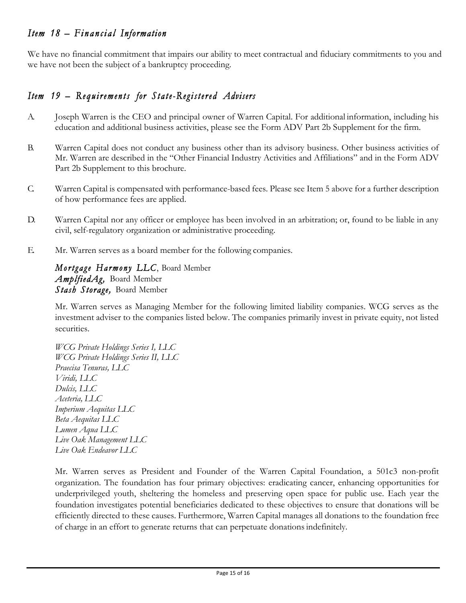## *Item 18 – Financial Information*

We have no financial commitment that impairs our ability to meet contractual and fiduciary commitments to you and we have not been the subject of a bankruptcy proceeding.

## *Item 19 – Requirements for State-Registered Advisers*

- A. Joseph Warren is the CEO and principal owner of Warren Capital. For additional information, including his education and additional business activities, please see the Form ADV Part 2b Supplement for the firm.
- B. Warren Capital does not conduct any business other than its advisory business. Other business activities of Mr. Warren are described in the "Other Financial Industry Activities and Affiliations" and in the Form ADV Part 2b Supplement to this brochure.
- C. Warren Capital is compensated with performance-based fees. Please see Item 5 above for a further description of how performance fees are applied.
- D. Warren Capital nor any officer or employee has been involved in an arbitration; or, found to be liable in any civil, self-regulatory organization or administrative proceeding.
- E. Mr. Warren serves as a board member for the following companies.

*Mortgage Harmony LLC*, Board Member *AmplfiedAg,* Board Member *Stash Storage,* Board Member

Mr. Warren serves as Managing Member for the following limited liability companies. WCG serves as the investment adviser to the companies listed below. The companies primarily invest in private equity, not listed securities.

*WCG Private Holdings Series I, LLC WCG Private Holdings Series II, LLC Praecisa Tenuras, LLC Viridi, LLC Dulcis, LLC Aceteria, LLC Imperium Aequitas LLC Beta Aequitas LLC Lumen Aqua LLC Live Oak Management LLC Live Oak Endeavor LLC*

Mr. Warren serves as President and Founder of the Warren Capital Foundation, a 501c3 non-profit organization. The foundation has four primary objectives: eradicating cancer, enhancing opportunities for underprivileged youth, sheltering the homeless and preserving open space for public use. Each year the foundation investigates potential beneficiaries dedicated to these objectives to ensure that donations will be efficiently directed to these causes. Furthermore, Warren Capital manages all donations to the foundation free of charge in an effort to generate returns that can perpetuate donations indefinitely.